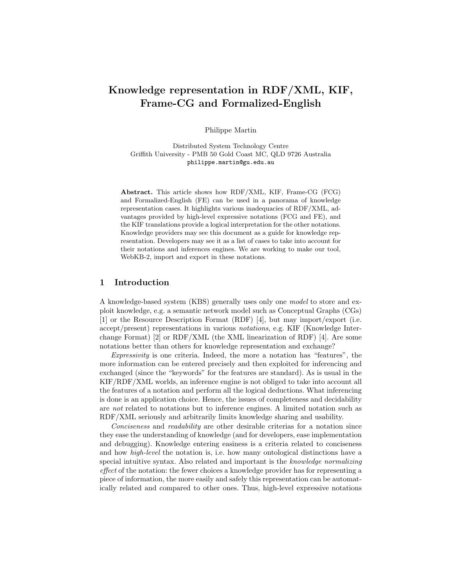# Knowledge representation in RDF/XML, KIF, Frame-CG and Formalized-English

Philippe Martin

Distributed System Technology Centre Griffith University - PMB 50 Gold Coast MC, QLD 9726 Australia philippe.martin@gu.edu.au

Abstract. This article shows how RDF/XML, KIF, Frame-CG (FCG) and Formalized-English (FE) can be used in a panorama of knowledge representation cases. It highlights various inadequacies of RDF/XML, advantages provided by high-level expressive notations (FCG and FE), and the KIF translations provide a logical interpretation for the other notations. Knowledge providers may see this document as a guide for knowledge representation. Developers may see it as a list of cases to take into account for their notations and inferences engines. We are working to make our tool, WebKB-2, import and export in these notations.

#### 1 Introduction

A knowledge-based system (KBS) generally uses only one model to store and exploit knowledge, e.g. a semantic network model such as Conceptual Graphs (CGs) [1] or the Resource Description Format (RDF) [4], but may import/export (i.e. accept/present) representations in various notations, e.g. KIF (Knowledge Interchange Format) [2] or  $RDF/XML$  (the XML linearization of RDF) [4]. Are some notations better than others for knowledge representation and exchange?

Expressivity is one criteria. Indeed, the more a notation has "features", the more information can be entered precisely and then exploited for inferencing and exchanged (since the "keywords" for the features are standard). As is usual in the KIF/RDF/XML worlds, an inference engine is not obliged to take into account all the features of a notation and perform all the logical deductions. What inferencing is done is an application choice. Hence, the issues of completeness and decidability are not related to notations but to inference engines. A limited notation such as RDF/XML seriously and arbitrarily limits knowledge sharing and usability.

Conciseness and readability are other desirable criterias for a notation since they ease the understanding of knowledge (and for developers, ease implementation and debugging). Knowledge entering easiness is a criteria related to conciseness and how high-level the notation is, i.e. how many ontological distinctions have a special intuitive syntax. Also related and important is the knowledge normalizing effect of the notation: the fewer choices a knowledge provider has for representing a piece of information, the more easily and safely this representation can be automatically related and compared to other ones. Thus, high-level expressive notations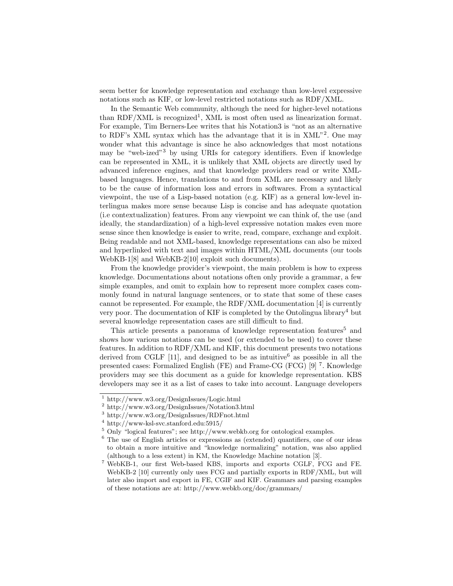seem better for knowledge representation and exchange than low-level expressive notations such as KIF, or low-level restricted notations such as RDF/XML.

In the Semantic Web community, although the need for higher-level notations than RDF/XML is recognized<sup>1</sup>, XML is most often used as linearization format. For example, Tim Berners-Lee writes that his Notation3 is "not as an alternative to RDF's XML syntax which has the advantage that it is in XML"<sup>2</sup> . One may wonder what this advantage is since he also acknowledges that most notations may be "web-ized"<sup>3</sup> by using URIs for category identifiers. Even if knowledge can be represented in XML, it is unlikely that XML objects are directly used by advanced inference engines, and that knowledge providers read or write XMLbased languages. Hence, translations to and from XML are necessary and likely to be the cause of information loss and errors in softwares. From a syntactical viewpoint, the use of a Lisp-based notation (e.g. KIF) as a general low-level interlingua makes more sense because Lisp is concise and has adequate quotation (i.e contextualization) features. From any viewpoint we can think of, the use (and ideally, the standardization) of a high-level expressive notation makes even more sense since then knowledge is easier to write, read, compare, exchange and exploit. Being readable and not XML-based, knowledge representations can also be mixed and hyperlinked with text and images within HTML/XML documents (our tools WebKB-1[8] and WebKB-2[10] exploit such documents).

From the knowledge provider's viewpoint, the main problem is how to express knowledge. Documentations about notations often only provide a grammar, a few simple examples, and omit to explain how to represent more complex cases commonly found in natural language sentences, or to state that some of these cases cannot be represented. For example, the RDF/XML documentation [4] is currently very poor. The documentation of KIF is completed by the Ontolingua library<sup>4</sup> but several knowledge representation cases are still difficult to find.

This article presents a panorama of knowledge representation features<sup>5</sup> and shows how various notations can be used (or extended to be used) to cover these features. In addition to RDF/XML and KIF, this document presents two notations derived from CGLF [11], and designed to be as intuitive as possible in all the presented cases: Formalized English (FE) and Frame-CG (FCG) [9]<sup>7</sup>. Knowledge providers may see this document as a guide for knowledge representation. KBS developers may see it as a list of cases to take into account. Language developers

<sup>1</sup> http://www.w3.org/DesignIssues/Logic.html

<sup>2</sup> http://www.w3.org/DesignIssues/Notation3.html

<sup>3</sup> http://www.w3.org/DesignIssues/RDFnot.html

<sup>4</sup> http://www-ksl-svc.stanford.edu:5915/

<sup>5</sup> Only "logical features"; see http://www.webkb.org for ontological examples.

<sup>6</sup> The use of English articles or expressions as (extended) quantifiers, one of our ideas to obtain a more intuitive and "knowledge normalizing" notation, was also applied (although to a less extent) in KM, the Knowledge Machine notation [3].

<sup>7</sup> WebKB-1, our first Web-based KBS, imports and exports CGLF, FCG and FE. WebKB-2 [10] currently only uses FCG and partially exports in RDF/XML, but will later also import and export in FE, CGIF and KIF. Grammars and parsing examples of these notations are at: http://www.webkb.org/doc/grammars/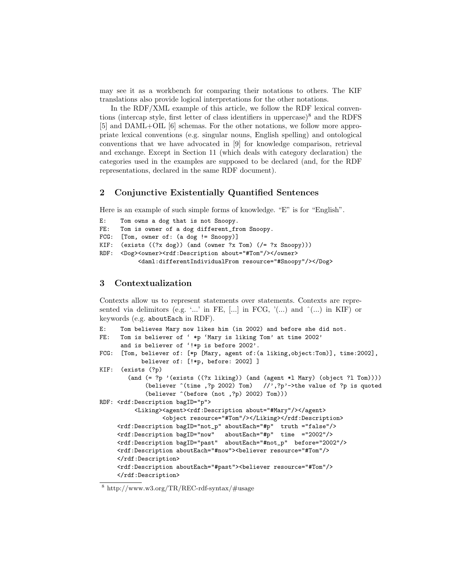may see it as a workbench for comparing their notations to others. The KIF translations also provide logical interpretations for the other notations.

In the RDF/XML example of this article, we follow the RDF lexical conventions (intercap style, first letter of class identifiers in uppercase) $\delta$  and the RDFS [5] and DAML+OIL [6] schemas. For the other notations, we follow more appropriate lexical conventions (e.g. singular nouns, English spelling) and ontological conventions that we have advocated in [9] for knowledge comparison, retrieval and exchange. Except in Section 11 (which deals with category declaration) the categories used in the examples are supposed to be declared (and, for the RDF representations, declared in the same RDF document).

# 2 Conjunctive Existentially Quantified Sentences

Here is an example of such simple forms of knowledge. "E" is for "English".

```
E: Tom owns a dog that is not Snoopy.
FE: Tom is owner of a dog different_from Snoopy.
FCG: [Tom, owner of: (a dog != Snoopy)]
KIF: (exists ((?x dog)) (and (owner ?x Tom) (/= ?x Snowy)))RDF: <Dog><owner><rdf:Description about="#Tom"/></owner>
          <daml:differentIndividualFrom resource="#Snoopy"/></Dog>
```
## 3 Contextualization

Contexts allow us to represent statements over statements. Contexts are represented via delimitors (e.g. '...' in FE,  $[\dots]$  in FCG, ' $(\dots)$  and  $\hat{ }$  (...) in KIF) or keywords (e.g. aboutEach in RDF).

```
E: Tom believes Mary now likes him (in 2002) and before she did not.
FE: Tom is believer of ' *p 'Mary is liking Tom' at time 2002'
      and is believer of '!*p is before 2002'.
FCG: [Tom, believer of: [*p [Mary, agent of:(a liking,object:Tom)], time:2002],
           believer of: [!*p, before: 2002] ]
KIF: (exists (?p)
        (and (= ?p '(exists ((?x liking)) (and (agent *l Mary) (object ?l Tom))))
             (believer \hat{ }(time ,?p 2002) Tom) //',?p'->the value of ?p is quoted
             (believer ^(before (not ,?p) 2002) Tom)))
RDF: <rdf:Description bagID="p">
          <Liking><agent><rdf:Description about="#Mary"/></agent>
                  <object resource="#Tom"/></Liking></rdf:Description>
     <rdf:Description bagID="not_p" aboutEach="#p" truth ="false"/>
     <rdf:Description bagID="now" aboutEach="#p" time ="2002"/>
     <rdf:Description bagID="past" aboutEach="#not_p" before="2002"/>
     <rdf:Description aboutEach="#now"><believer resource="#Tom"/>
     </rdf:Description>
     <rdf:Description aboutEach="#past"><believer resource="#Tom"/>
     </rdf:Description>
```
<sup>8</sup> http://www.w3.org/TR/REC-rdf-syntax/#usage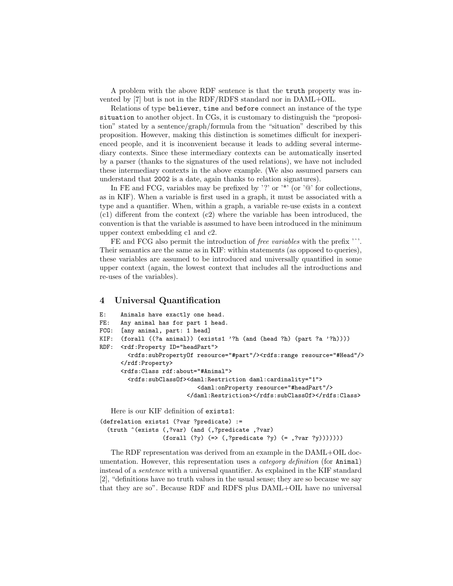A problem with the above RDF sentence is that the truth property was invented by [7] but is not in the RDF/RDFS standard nor in DAML+OIL.

Relations of type believer, time and before connect an instance of the type situation to another object. In CGs, it is customary to distinguish the "proposition" stated by a sentence/graph/formula from the "situation" described by this proposition. However, making this distinction is sometimes difficult for inexperienced people, and it is inconvenient because it leads to adding several intermediary contexts. Since these intermediary contexts can be automatically inserted by a parser (thanks to the signatures of the used relations), we have not included these intermediary contexts in the above example. (We also assumed parsers can understand that 2002 is a date, again thanks to relation signatures).

In FE and FCG, variables may be prefixed by '?' or '\*' (or ' $@$ ' for collections, as in KIF). When a variable is first used in a graph, it must be associated with a type and a quantifier. When, within a graph, a variable re-use exists in a context (c1) different from the context (c2) where the variable has been introduced, the convention is that the variable is assumed to have been introduced in the minimum upper context embedding c1 and c2.

FE and FCG also permit the introduction of *free variables* with the prefix '<sup> $\cdot$ </sup>'. Their semantics are the same as in KIF: within statements (as opposed to queries), these variables are assumed to be introduced and universally quantified in some upper context (again, the lowest context that includes all the introductions and re-uses of the variables).

#### 4 Universal Quantification

```
E: Animals have exactly one head.
FE: Any animal has for part 1 head.
FCG: [any animal, part: 1 head]
KIF: (forall ((?a animal)) (exists1 '?h (and (head ?h) (part ?a '?h))))
RDF: <rdf:Property ID="headPart">
        <rdfs:subPropertyOf resource="#part"/><rdfs:range resource="#Head"/>
      </rdf:Property>
      <rdfs:Class rdf:about="#Animal">
        <rdfs:subClassOf><daml:Restriction daml:cardinality="1">
                            <daml:onProperty resource="#headPart"/>
                         </daml:Restriction></rdfs:subClassOf></rdfs:Class>
```
Here is our KIF definition of exists1:

```
(defrelation exists1 (?var ?predicate) :=
  (truth ^(exists (,?var) (and (,?predicate ,?var)
                  (forall (?y) (=> (,?predicate ?y) (= ,?var ?y)))))))
```
The RDF representation was derived from an example in the DAML+OIL documentation. However, this representation uses a *category definition* (for **Animal**) instead of a sentence with a universal quantifier. As explained in the KIF standard [2], "definitions have no truth values in the usual sense; they are so because we say that they are so". Because RDF and RDFS plus DAML+OIL have no universal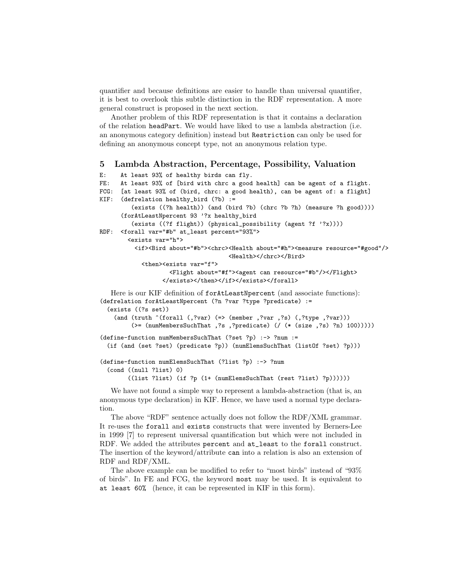quantifier and because definitions are easier to handle than universal quantifier, it is best to overlook this subtle distinction in the RDF representation. A more general construct is proposed in the next section.

Another problem of this RDF representation is that it contains a declaration of the relation headPart. We would have liked to use a lambda abstraction (i.e. an anonymous category definition) instead but Restriction can only be used for defining an anonymous concept type, not an anonymous relation type.

#### 5 Lambda Abstraction, Percentage, Possibility, Valuation

```
E: At least 93% of healthy birds can fly.
FE: At least 93% of [bird with chrc a good health] can be agent of a flight.
FCG: [at least 93% of (bird, chrc: a good health), can be agent of: a flight]
KIF: (defrelation healthy_bird (?b) :=
         (exists ((?h health)) (and (bird ?b) (chrc ?b ?h) (measure ?h good))))
      (forAtLeastNpercent 93 '?x healthy_bird
         (exists ((?f flight)) (physical_possibility (agent ?f '?x))))
RDF: <forall var="#b" at_least percent="93%">
        <exists var="h">
          <if><Bird about="#b"><chrc><Health about="#h"><measure resource="#good"/>
                                     <Health></chrc></Bird>
            <then><exists var="f">
                    <Flight about="#f"><agent can resource="#b"/></Flight>
                  </exists></then></if></exists></forall>
   Here is our KIF definition of forAtLeastNpercent (and associate functions):
(defrelation forAtLeastNpercent (?n ?var ?type ?predicate) :=
  (exists ((?s set))
    (and (truth ^(forall (,?var) (=> (member ,?var ,?s) (,?type ,?var)))
         (>= (numMembersSuchThat ,?s ,?predicate) (/ (* (size ,?s) ?n) 100)))))
(define-function numMembersSuchThat (?set ?p) :-> ?num :=
  (if (and (set ?set) (predicate ?p)) (numElemsSuchThat (listOf ?set) ?p)))
(define-function numElemsSuchThat (?list ?p) :-> ?num
  (cond ((null ?list) 0)
        ((list ?list) (if ?p (1+ (numElemsSuchThat (rest ?list) ?p))))))
```
We have not found a simple way to represent a lambda-abstraction (that is, an anonymous type declaration) in KIF. Hence, we have used a normal type declaration.

The above "RDF" sentence actually does not follow the RDF/XML grammar. It re-uses the forall and exists constructs that were invented by Berners-Lee in 1999 [7] to represent universal quantification but which were not included in RDF. We added the attributes percent and at\_least to the forall construct. The insertion of the keyword/attribute can into a relation is also an extension of RDF and RDF/XML.

The above example can be modified to refer to "most birds" instead of "93% of birds". In FE and FCG, the keyword most may be used. It is equivalent to at least 60% (hence, it can be represented in KIF in this form).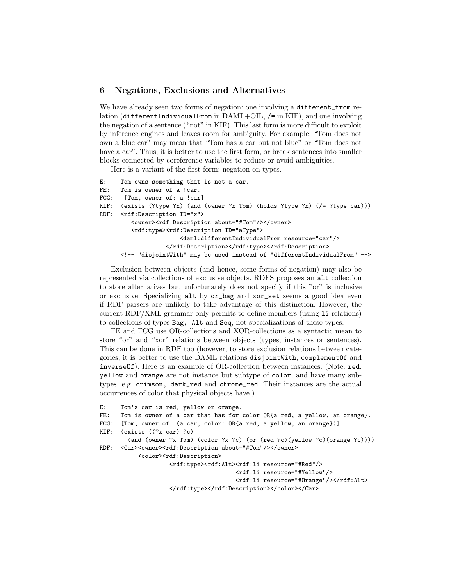## 6 Negations, Exclusions and Alternatives

We have already seen two forms of negation: one involving a different\_from relation (differentIndividualFrom in DAML+OIL, /= in KIF), and one involving the negation of a sentence ("not" in KIF). This last form is more difficult to exploit by inference engines and leaves room for ambiguity. For example, "Tom does not own a blue car" may mean that "Tom has a car but not blue" or "Tom does not have a car". Thus, it is better to use the first form, or break sentences into smaller blocks connected by coreference variables to reduce or avoid ambiguities.

Here is a variant of the first form: negation on types.

```
E: Tom owns something that is not a car.
FE: Tom is owner of a !car.
FCG: [Tom, owner of: a !car]
KIF: (exists (?type ?x) (and (owner ?x Tom) (holds ?type ?x) (/= ?type car)))
RDF: <rdf:Description ID="x">
         <owner><rdf:Description about="#Tom"/></owner>
         <rdf:type><rdf:Description ID="aType">
                       <daml:differentIndividualFrom resource="car"/>
                   </rdf:Description></rdf:type></rdf:Description>
      <!-- "disjointWith" may be used instead of "differentIndividualFrom" -->
```
Exclusion between objects (and hence, some forms of negation) may also be represented via collections of exclusive objects. RDFS proposes an alt collection to store alternatives but unfortunately does not specify if this "or" is inclusive or exclusive. Specializing alt by or\_bag and xor\_set seems a good idea even if RDF parsers are unlikely to take advantage of this distinction. However, the current RDF/XML grammar only permits to define members (using li relations) to collections of types Bag, Alt and Seq, not specializations of these types.

FE and FCG use OR-collections and XOR-collections as a syntactic mean to store "or" and "xor" relations between objects (types, instances or sentences). This can be done in RDF too (however, to store exclusion relations between categories, it is better to use the DAML relations disjointWith, complementOf and inverseOf). Here is an example of OR-collection between instances. (Note: red, yellow and orange are not instance but subtype of color, and have many subtypes, e.g. crimson, dark\_red and chrome\_red. Their instances are the actual occurrences of color that physical objects have.)

```
E: Tom's car is red, yellow or orange.
FE: Tom is owner of a car that has for color OR{a red, a yellow, an orange}.
FCG: [Tom, owner of: (a car, color: OR{a red, a yellow, an orange})]
KIF: (exists ((?x car) ?c)
        (and (owner ?x Tom) (color ?x ?c) (or (red ?c)(yellow ?c)(orange ?c))))
RDF: <Car><owner><rdf:Description about="#Tom"/></owner>
           <color> <rdf:Description>
                   <rdf:type><rdf:Alt><rdf:li resource="#Red"/>
                                       <rdf:li resource="#Yellow"/>
                                       <rdf:li resource="#Orange"/></rdf:Alt>
                   </rdf:type></rdf:Description></color></Car>
```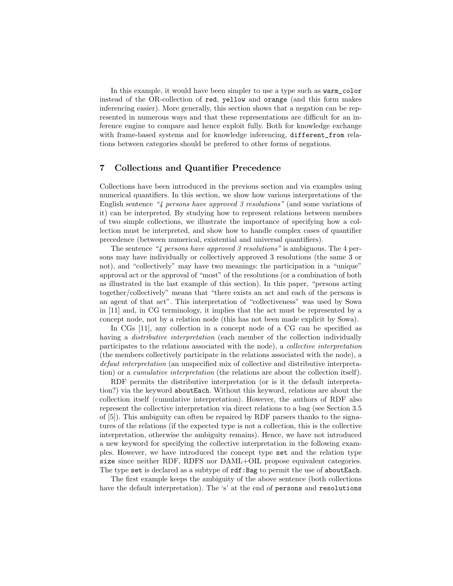In this example, it would have been simpler to use a type such as warm\_color instead of the OR-collection of red, yellow and orange (and this form makes inferencing easier). More generally, this section shows that a negation can be represented in numerous ways and that these representations are difficult for an inference engine to compare and hence exploit fully. Both for knowledge exchange with frame-based systems and for knowledge inferencing, different\_from relations between categories should be prefered to other forms of negations.

## 7 Collections and Quantifier Precedence

Collections have been introduced in the previous section and via examples using numerical quantifiers. In this section, we show how various interpretations of the English sentence "4 persons have approved 3 resolutions" (and some variations of it) can be interpreted. By studying how to represent relations between members of two simple collections, we illustrate the importance of specifying how a collection must be interpreted, and show how to handle complex cases of quantifier precedence (between numerical, existential and universal quantifiers).

The sentence "4 persons have approved 3 resolutions" is ambiguous. The 4 persons may have individually or collectively approved 3 resolutions (the same 3 or not), and "collectively" may have two meanings: the participation in a "unique" approval act or the approval of "most" of the resolutions (or a combination of both as illustrated in the last example of this section). In this paper, "persons acting together/collectively" means that "there exists an act and each of the persons is an agent of that act". This interpretation of "collectiveness" was used by Sowa in [11] and, in CG terminology, it implies that the act must be represented by a concept node, not by a relation node (this has not been made explicit by Sowa).

In CGs [11], any collection in a concept node of a CG can be specified as having a *distributive interpretation* (each member of the collection individually participates to the relations associated with the node), a collective interpretation (the members collectively participate in the relations associated with the node), a defaut interpretation (an unspecified mix of collective and distributive interpretation) or a cumulative interpretation (the relations are about the collection itself).

RDF permits the distributive interpretation (or is it the default interpretation?) via the keyword aboutEach. Without this keyword, relations are about the collection itself (cumulative interpretation). However, the authors of RDF also represent the collective interpretation via direct relations to a bag (see Section 3.5 of [5]). This ambiguity can often be repaired by RDF parsers thanks to the signatures of the relations (if the expected type is not a collection, this is the collective interpretation, otherwise the ambiguity remains). Hence, we have not introduced a new keyword for specifying the collective interpretation in the following examples. However, we have introduced the concept type set and the relation type size since neither RDF, RDFS nor DAML+OIL propose equivalent categories. The type set is declared as a subtype of rdf: Bag to permit the use of about Each.

The first example keeps the ambiguity of the above sentence (both collections have the default interpretation). The 's' at the end of persons and resolutions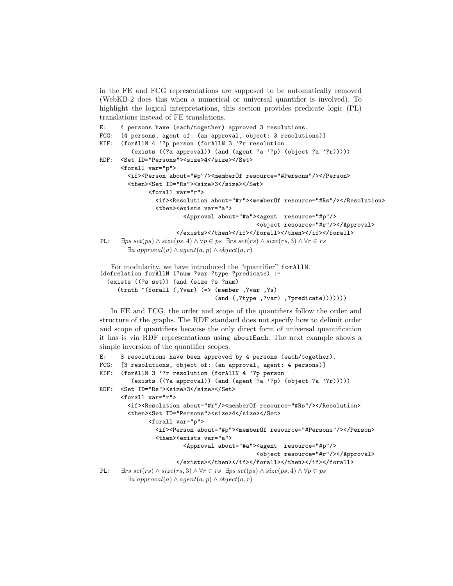in the FE and FCG representations are supposed to be automatically removed (WebKB-2 does this when a numerical or universal quantifier is involved). To highlight the logical interpretations, this section provides predicate logic (PL) translations instead of FE translations.

```
E: 4 persons have (each/together) approved 3 resolutions.
FCG: [4 persons, agent of: (an approval, object: 3 resolutions)]
KIF: (forAllN 4 '?p person (forAllN 3 '?r resolution
         (exists ((?a approval)) (and (agent ?a '?p) (object ?a '?r)))))
RDF: <Set ID="Persons"><size>4</size></Set>
      <forall var="p">
        <if><Person about="#p"/><memberOf resource="#Persons"/></Person>
        <then><Set ID="Rs"><size>3</size></Set>
               <forall var="r">
                 <if><Resolution about="#r"><memberOf resource="#Rs"/></Resolution>
                 <then><exists var="a">
                          <Approval about="#a"><agent resource="#p"/>
                                                 <object resource="#r"/></Approval>
                        </exists></then></if></forall></then></if></forall>
PL: \exists ps \; set(ps) \land size(ps,4) \land \forall p \in ps \; \exists rs \; set(rs) \land size(rs,3) \land \forall r \in rs∃a approval(a) ∧ agent(a, p) ∧ object(a, r)
   For modularity, we have introduced the "quantifier" forAllN.
```

```
(defrelation forAllN (?num ?var ?type ?predicate) :=
  (exists ((?s set)) (and (size ?s ?num)
     (truth ^(forall (,?var) (=> (member ,?var ,?s)
                                 (and (,?type ,?var) ,?predicate)))))))
```
In FE and FCG, the order and scope of the quantifiers follow the order and structure of the graphs. The RDF standard does not specify how to delimit order and scope of quantifiers because the only direct form of universal quantification it has is via RDF representations using aboutEach. The next example shows a simple inversion of the quantifier scopes.

```
E: 3 resolutions have been approved by 4 persons (each/together).
FCG: [3 resolutions, object of: (an approval, agent: 4 persons)]
KIF: (forAllN 3 '?r resolution (forAllN 4 '?p person
         (exists ((?a approval)) (and (agent ?a '?p) (object ?a '?r)))))
RDF: <Set ID="Rs"><size>3</size></Set>
      <forall var="r">
        <if><Resolution about="#r"/><memberOf resource="#Rs"/></Resolution>
        <then><Set ID="Persons"><size>4</size></Set>
               <forall var="p">
                 <if><Person about="#p"><memberOf resource="#Persons"/></Person>
                 <then><exists var="a">
                          <Approval about="#a"><agent resource="#p"/>
                                                 <object resource="#r"/></Approval>
                        </exists></then></if></forall></then></if></forall>
PL: \exists rs \ set(rs) \land size(rs, 3) \land \forall r \in rs \ \exists ps \ set(ps) \land size(ps, 4) \land \forall p \in ps∃a approval(a) ∧ agent(a, p) ∧ object(a, r)
```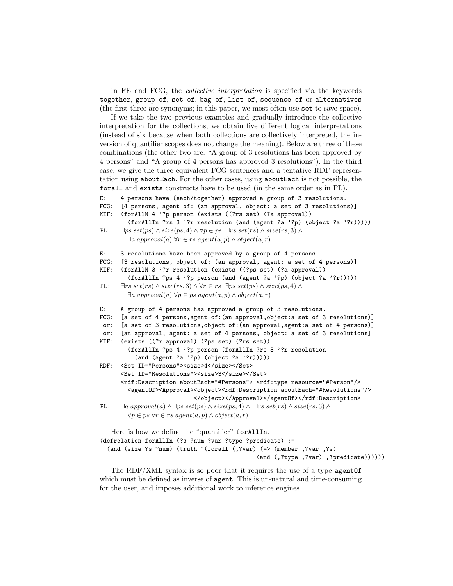In FE and FCG, the collective interpretation is specified via the keywords together, group of, set of, bag of, list of, sequence of or alternatives (the first three are synonyms; in this paper, we most often use set to save space).

If we take the two previous examples and gradually introduce the collective interpretation for the collections, we obtain five different logical interpretations (instead of six because when both collections are collectively interpreted, the inversion of quantifier scopes does not change the meaning). Below are three of these combinations (the other two are: "A group of 3 resolutions has been approved by 4 persons" and "A group of 4 persons has approved 3 resolutions"). In the third case, we give the three equivalent FCG sentences and a tentative RDF representation using aboutEach. For the other cases, using aboutEach is not possible, the forall and exists constructs have to be used (in the same order as in PL).

```
E: 4 persons have (each/together) approved a group of 3 resolutions.
```

```
FCG: [4 persons, agent of: (an approval, object: a set of 3 resolutions)]
```

```
KIF: (forAllN 4 '?p person (exists ((?rs set) (?a approval))
```
(forAllIn ?rs 3 '?r resolution (and (agent ?a '?p) (object ?a '?r))))) PL:  $∃ps set(ps) ∧ size(ps, 4) ∧ ∀p ∈ ps ∃rs set(rs) ∧ size(rs, 3) ∧$ 

```
\exists a \text{ approval}(a) \forall r \in rs \text{ agent}(a, p) \land object(a, r)
```
- E: 3 resolutions have been approved by a group of 4 persons.
- FCG: [3 resolutions, object of: (an approval, agent: a set of 4 persons)] KIF: (forAllN 3 '?r resolution (exists ((?ps set) (?a approval))
- (forAllIn ?ps 4 '?p person (and (agent ?a '?p) (object ?a '?r)))))
- PL:  $\exists rs \; set(rs) \land \; size(rs, 3) \land \forall r \in rs \; \exists ps \; set(ps) \land \; size(ps, 4) \land$ ∃a approval(a) ∀p ∈ ps agent(a, p) ∧ object(a, r)
- E: A group of 4 persons has approved a group of 3 resolutions.

```
FCG: [a set of 4 persons,agent of:(an approval,object:a set of 3 resolutions)]
```

```
or: [a set of 3 resolutions,object of:(an approval,agent:a set of 4 persons)]
```

```
or: [an approval, agent: a set of 4 persons, object: a set of 3 resolutions]
KIF: (exists ((?r approval) (?ps set) (?rs set))
```

```
(forAllIn ?ps 4 '?p person (forAllIn ?rs 3 '?r resolution
 (and (agent ?a '?p) (object ?a '?r)))))
```
RDF: <Set ID="Persons"><size>4</size></Set> <Set ID="Resolutions"><size>3</size></Set> <rdf:Description aboutEach="#Persons"> <rdf:type resource="#Person"/> <agentOf><Approval><object><rdf:Description aboutEach="#Resolutions"/> </object></Approval></agentOf></rdf:Description> PL:  $\exists a \text{ approx} (a) \land \exists ps \text{ set}(ps) \land \text{size}(ps, 4) \land \exists rs \text{ set}(rs) \land \text{size}(rs, 3) \land$ 

```
\forall p \in ps \; \forall r \in rs \; agent(a, p) \land object(a, r)
```
Here is how we define the "quantifier" forAllIn. (defrelation forAllIn (?s ?num ?var ?type ?predicate) := (and (size ?s ?num) (truth ^(forall (,?var) (=> (member ,?var ,?s) (and (,?type ,?var) ,?predicate))))))

The RDF/XML syntax is so poor that it requires the use of a type agentOf which must be defined as inverse of agent. This is un-natural and time-consuming for the user, and imposes additional work to inference engines.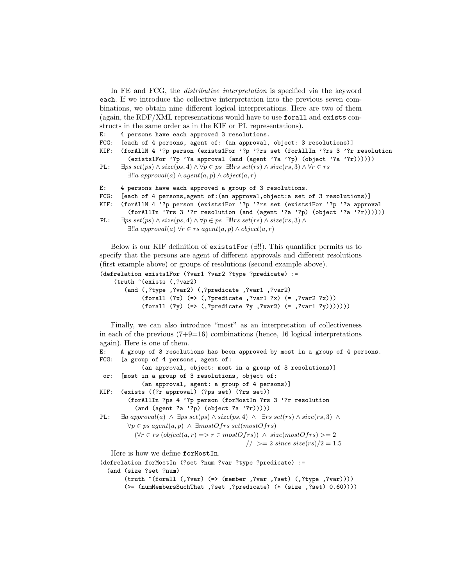In FE and FCG, the *distributive interpretation* is specified via the keyword each. If we introduce the collective interpretation into the previous seven combinations, we obtain nine different logical interpretations. Here are two of them (again, the RDF/XML representations would have to use forall and exists constructs in the same order as in the KIF or PL representations).

E: 4 persons have each approved 3 resolutions.

FCG: [each of 4 persons, agent of: (an approval, object: 3 resolutions)]

KIF: (forAllN 4 '?p person (exists1For '?p '?rs set (forAllIn '?rs 3 '?r resolution (exists1For '?p '?a approval (and (agent '?a '?p) (object '?a '?r))))))

```
PL: ∃ps set(ps) ∧ size(ps, 4) ∧ ∀p ∈ ps ∃!!rs set(rs) ∧ size(rs, 3) ∧ ∀r ∈ rs∃!!a approval(a) ∧ agent(a, p) ∧ object(a, r)
```
E: 4 persons have each approved a group of 3 resolutions.

FCG: [each of 4 persons,agent of:(an approval,object:a set of 3 resolutions)]

```
KIF: (forAllN 4 '?p person (exists1For '?p '?rs set (exists1For '?p '?a approval
```

```
(forAllIn '?rs 3 '?r resolution (and (agent '?a '?p) (object '?a '?r))))))
PL: \exists ps \; set(ps) \land size(ps, 4) \land \forall p \in ps \; \exists!!rs \; set(rs) \land size(rs, 3) \land
```

```
∃!!a approval(a) ∀r ∈ rs agent(a, p) ∧ object(a, r)
```
Below is our KIF definition of exists1For (∃!!). This quantifier permits us to specify that the persons are agent of different approvals and different resolutions (first example above) or groups of resolutions (second example above).

```
(defrelation exists1For (?var1 ?var2 ?type ?predicate) :=
    (truth ^(exists (,?var2)
       (and (,?type ,?var2) (,?predicate ,?var1 ,?var2)
            (forall (?x) (=<, ?predicate , ?var1 ?x) (= , ?var2 ?x)))(forall (?y) (=<, ?predicate ?y , ?var2) (= , ?var1 ?y))))))
```
Finally, we can also introduce "most" as an interpretation of collectiveness in each of the previous  $(7+9=16)$  combinations (hence, 16 logical interpretations again). Here is one of them.

```
E: A group of 3 resolutions has been approved by most in a group of 4 persons.
FCG: [a group of 4 persons, agent of:
              (an approval, object: most in a group of 3 resolutions)]
 or: [most in a group of 3 resolutions, object of:
              (an approval, agent: a group of 4 persons)]
KIF: (exists ((?r approval) (?ps set) (?rs set))
         (forAllIn ?ps 4 '?p person (forMostIn ?rs 3 '?r resolution
            (and (agent ?a '?p) (object ?a '?r)))))
PL: \exists a \text{ approx} (a) \land \exists ps \text{ set}(ps) \land \text{ size}(ps, 4) \land \exists rs \text{ set}(rs) \land \text{ size}(rs, 3) \land∀p ∈ ps agent(a, p) ∧ ∃mostOfrs set(mostOfrs)(\forall r \in rs \; (object(a, r) \Longrightarrow r \in mostOfrs)) \land size(mostOfrs) \geq 2\frac{1}{2} > = 2 since size(rs)/2 = 1.5
   Here is how we define forMostIn.
```

```
(defrelation forMostIn (?set ?num ?var ?type ?predicate) :=
  (and (size ?set ?num)
      (truth ^(forall (,?var) (=> (member ,?var ,?set) (,?type ,?var))))
      (>= (numMembersSuchThat ,?set ,?predicate) (* (size ,?set) 0.60))))
```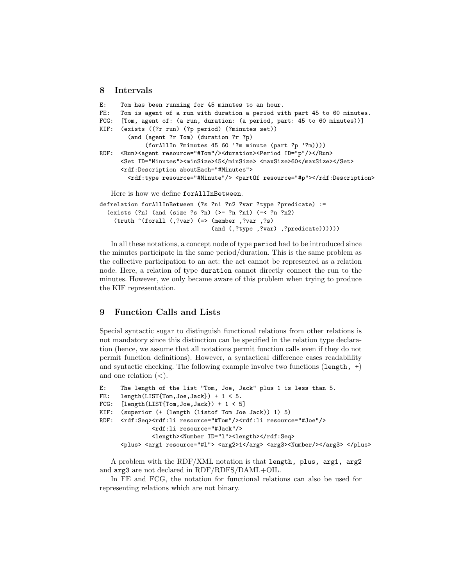#### 8 Intervals

```
E: Tom has been running for 45 minutes to an hour.
FE: Tom is agent of a run with duration a period with part 45 to 60 minutes.
FCG: [Tom, agent of: (a run, duration: (a period, part: 45 to 60 minutes))]
KIF: (exists ((?r run) (?p period) (?minutes set))
        (and (agent ?r Tom) (duration ?r ?p)
             (forAllIn ?minutes 45 60 '?m minute (part ?p '?m))))
RDF: <Run><agent resource="#Tom"/><duration><Period ID="p"/></Run>
      <Set ID="Minutes"><minSize>45</minSize> <maxSize>60</maxSize></Set>
      <rdf:Description aboutEach="#Minutes">
       <rdf:type resource="#Minute"/> <partOf resource="#p"></rdf:Description>
   Here is how we define forAllInBetween.
defrelation forAllInBetween (?s ?n1 ?n2 ?var ?type ?predicate) :=
  (exists (?n) (and (size ?s ?n) (>= ?n ?n1) (=< ?n ?n2)
```
(truth ^(forall (,?var) (=> (member ,?var ,?s) (and (,?type ,?var) ,?predicate))))))

In all these notations, a concept node of type period had to be introduced since the minutes participate in the same period/duration. This is the same problem as the collective participation to an act: the act cannot be represented as a relation node. Here, a relation of type duration cannot directly connect the run to the minutes. However, we only became aware of this problem when trying to produce the KIF representation.

## 9 Function Calls and Lists

Special syntactic sugar to distinguish functional relations from other relations is not mandatory since this distinction can be specified in the relation type declaration (hence, we assume that all notations permit function calls even if they do not permit function definitions). However, a syntactical difference eases readablility and syntactic checking. The following example involve two functions  $(\text{length}, +)$ and one relation  $(<)$ .

```
E: The length of the list "Tom, Joe, Jack" plus 1 is less than 5.
FE: length(LIST{Tom, Joe, Jack}) + 1 < 5.
FCG: [length(LIST{Tom}, Joe, Jack]) + 1 < 5]KIF: (superior (+ (length (listof Tom Joe Jack)) 1) 5)
RDF: <rdf:Seq><rdf:li resource="#Tom"/><rdf:li resource="#Joe"/>
               <rdf:li resource="#Jack"/>
               <length><Number ID="l"><length></rdf:Seq>
      <plus> <arg1 resource="#1"> <arg2>1</arg> <arg3><Number/>er/>></arg3> </plus>
```
A problem with the RDF/XML notation is that length, plus, arg1, arg2 and arg3 are not declared in RDF/RDFS/DAML+OIL.

In FE and FCG, the notation for functional relations can also be used for representing relations which are not binary.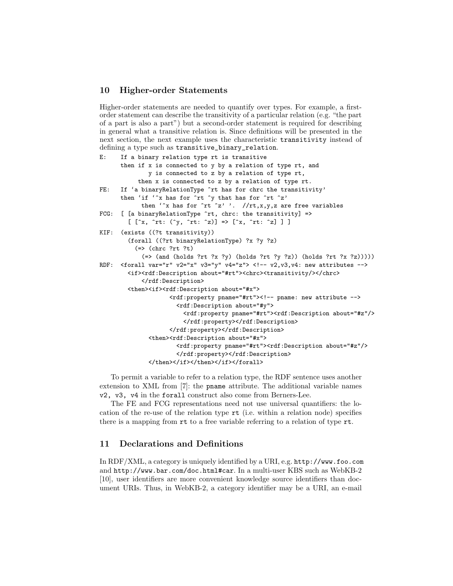## 10 Higher-order Statements

Higher-order statements are needed to quantify over types. For example, a firstorder statement can describe the transitivity of a particular relation (e.g. "the part of a part is also a part") but a second-order statement is required for describing in general what a transitive relation is. Since definitions will be presented in the next section, the next example uses the characteristic transitivity instead of defining a type such as transitive\_binary\_relation.

```
E: If a binary relation type rt is transitive
      then if x is connected to y by a relation of type rt, and
              y is connected to z by a relation of type rt,
           then x is connected to z by a relation of type rt.
FE: If 'a binaryRelationType \hat{r}t has for chrc the transitivity'
      then 'if 'x has for \hat{r}t \hat{y} that has for \hat{r}t \hat{z}'then 'x has for \hat{r}t \hat{z}' '. //rt,x,y,z are free variables
FCG: [ [a binaryRelationType ^rt, chrc: the transitivity] =>
        [ [^{\hat{r}}x, \hat{r}t: (\hat{y}, \hat{r}t: \hat{z})] => [^{\hat{r}}x, \hat{r}t: \hat{z}] ] ]
KIF: (exists ((?t transitivity))
        (forall ((?rt binaryRelationType) ?x ?y ?z)
           (=> (chrc ?rt ?t)
             (=> (and (holds ?rt ?x ?y) (holds ?rt ?y ?z)) (holds ?rt ?x ?z)))))
RDF: \langleforall var="r" v2="x" v3="y" v4="z"> <!-- v2,v3,v4: new attributes -->
        <if><rdf:Description about="#rt"><chrc><transitivity/></chrc>
             </rdf:Description>
        <then><if><rdf:Description about="#x">
                     <rdf:property pname="#rt"><!-- pname: new attribute -->
                       <rdf:Description about="#y">
                         <rdf:property pname="#rt"><rdf:Description about="#z"/>
                         </rdf:property></rdf:Description>
                     </rdf:property></rdf:Description>
               <then><rdf:Description about="#x">
                       <rdf:property pname="#rt"><rdf:Description about="#z"/>
                       </rdf:property></rdf:Description>
               </then></if></then></if></forall>
```
To permit a variable to refer to a relation type, the RDF sentence uses another extension to XML from [7]: the pname attribute. The additional variable names v2, v3, v4 in the forall construct also come from Berners-Lee.

The FE and FCG representations need not use universal quantifiers: the location of the re-use of the relation type rt (i.e. within a relation node) specifies there is a mapping from rt to a free variable referring to a relation of type rt.

# 11 Declarations and Definitions

In RDF/XML, a category is uniquely identified by a URI, e.g. http://www.foo.com and http://www.bar.com/doc.html#car. In a multi-user KBS such as WebKB-2 [10], user identifiers are more convenient knowledge source identifiers than document URIs. Thus, in WebKB-2, a category identifier may be a URI, an e-mail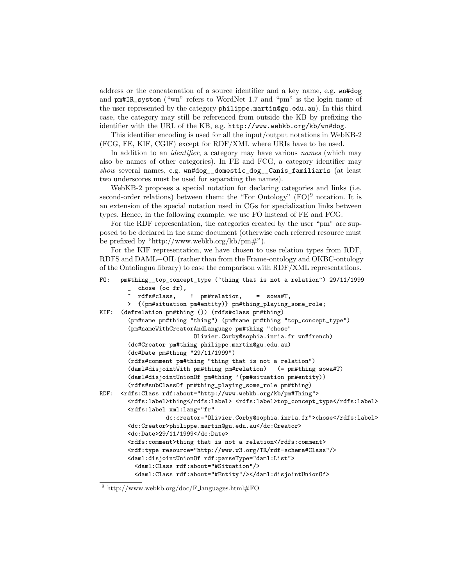address or the concatenation of a source identifier and a key name, e.g. wn#dog and pm#IR\_system ("wn" refers to WordNet 1.7 and "pm" is the login name of the user represented by the category philippe.martin@gu.edu.au). In this third case, the category may still be referenced from outside the KB by prefixing the identifier with the URL of the KB, e.g. http://www.webkb.org/kb/wn#dog.

This identifier encoding is used for all the input/output notations in WebKB-2 (FCG, FE, KIF, CGIF) except for RDF/XML where URIs have to be used.

In addition to an *identifier*, a category may have various *names* (which may also be names of other categories). In FE and FCG, a category identifier may show several names, e.g. wn#dog\_\_domestic\_dog\_\_Canis\_familiaris (at least two underscores must be used for separating the names).

WebKB-2 proposes a special notation for declaring categories and links (i.e. second-order relations) between them: the "For Ontology"  $(FO)^9$  notation. It is an extension of the special notation used in CGs for specialization links between types. Hence, in the following example, we use FO instead of FE and FCG.

For the RDF representation, the categories created by the user "pm" are supposed to be declared in the same document (otherwise each referred resource must be prefixed by "http://www.webkb.org/kb/pm#").

For the KIF representation, we have chosen to use relation types from RDF, RDFS and DAML+OIL (rather than from the Frame-ontology and OKBC-ontology of the Ontolingua library) to ease the comparison with RDF/XML representations.

```
FO: pm#thing__top_concept_type (^thing that is not a relation^) 29/11/1999
       \frac{1}{\sqrt{2}} chose (oc fr),
          ^ rdfs#class, ! pm#relation, = sowa#T,
       > {(pm#situation pm#entity)} pm#thing_playing_some_role;
KIF: (defrelation pm#thing ()) (rdfs#class pm#thing)
        (pm#name pm#thing "thing") (pm#name pm#thing "top_concept_type")
        (pm#nameWithCreatorAndLanguage pm#thing "chose"
                           Olivier.Corby@sophia.inria.fr wn#french)
        (dc#Creator pm#thing philippe.martin@gu.edu.au)
        (dc#Date pm#thing "29/11/1999")
        (rdfs#comment pm#thing "thing that is not a relation")
        (daml#disjointWith pm#thing pm#relation) (= pm#thing sowa#T)
        (daml#disjointUnionOf pm#thing '(pm#situation pm#entity))
        (rdfs#subClassOf pm#thing_playing_some_role pm#thing)
RDF: <rdfs:Class rdf:about="http://www.webkb.org/kb/pm#Thing">
        <rdfs:label>thing</rdfs:label> <rdfs:label>top_concept_type</rdfs:label>
        <rdfs:label xml:lang="fr"
                   dc:creator="Olivier.Corby@sophia.inria.fr">chose</rdfs:label>
        <dc:Creator>philippe.martin@gu.edu.au</dc:Creator>
        <dc:Date>29/11/1999</dc:Date>
        <rdfs:comment>thing that is not a relation</rdfs:comment>
        <rdf:type resource="http://www.w3.org/TR/rdf-schema#Class"/>
        <daml:disjointUnionOf rdf:parseType="daml:List">
          <daml:Class rdf:about="#Situation"/>
          <daml:Class rdf:about="#Entity"/></daml:disjointUnionOf>
```
 $^{9}$ http://www.webkb.org/doc/F\_languages.html#FO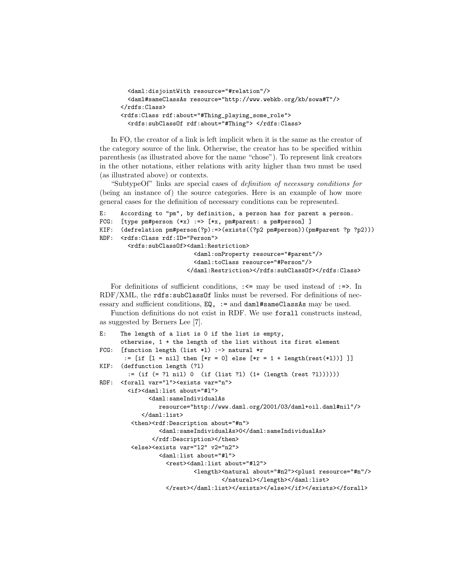```
<daml:disjointWith resource="#relation"/>
 <daml#sameClassAs resource="http://www.webkb.org/kb/sowa#T"/>
\langlerdfs:Class>
<rdfs:Class rdf:about="#Thing_playing_some_role">
  <rdfs:subClassOf rdf:about="#Thing"> </rdfs:Class>
```
In FO, the creator of a link is left implicit when it is the same as the creator of the category source of the link. Otherwise, the creator has to be specified within parenthesis (as illustrated above for the name "chose"). To represent link creators in the other notations, either relations with arity higher than two must be used (as illustrated above) or contexts.

"SubtypeOf" links are special cases of definition of necessary conditions for (being an instance of) the source categories. Here is an example of how more general cases for the definition of necessary conditions can be represented.

```
E: According to "pm", by definition, a person has for parent a person.
FCG: [type pm#person (**x) :=> [*x, pm#parent: a pm#person] ]
KIF: (defrelation pm#person(?p):=>(exists((?p2 pm#person))(pm#parent ?p ?p2)))
RDF: <rdfs:Class rdf:ID="Person">
        <rdfs:subClassOf><daml:Restriction>
                           <daml:onProperty resource="#parent"/>
                           <daml:toClass resource="#Person"/>
                         </daml:Restriction></rdfs:subClassOf></rdfs:Class>
```
For definitions of sufficient conditions,  $\Rightarrow$  may be used instead of  $\Rightarrow$ . In RDF/XML, the rdfs:subClassOf links must be reversed. For definitions of necessary and sufficient conditions, EQ, := and daml#sameClassAs may be used.

Function definitions do not exist in RDF. We use forall constructs instead, as suggested by Berners Lee [7].

```
E: The length of a list is 0 if the list is empty,
      otherwise, 1 + the length of the list without its first element
FCG: [function length (list *l) :-> natural *r
      := [if [1 = nil] then [*r = 0] else [*r = 1 + length(rest(*1))]]]
KIF: (deffunction length (?l)
        := (if (= ?l nil) 0 (if (list ?l) (1+ (length (rest ?l))))))
RDF: <forall var="l"><exists var="n">
        <if><daml:list about="#l">
              <daml:sameIndividualAs
                resource="http://www.daml.org/2001/03/daml+oil.daml#nil"/>
            </daml:list>
         <then><rdf:Description about="#n">
                 <daml:sameIndividualAs>0</daml:sameIndividualAs>
               </rdf:Description></then>
         <else><exists var="l2" v2="n2">
                 <daml:list about="#l">
                   <rest><daml:list about="#l2">
                           <length><natural about="#n2"><plus1 resource="#n"/>
                                   </natural></length></daml:list>
                   </rest></daml:list></exists></else></if></exists></forall>
```